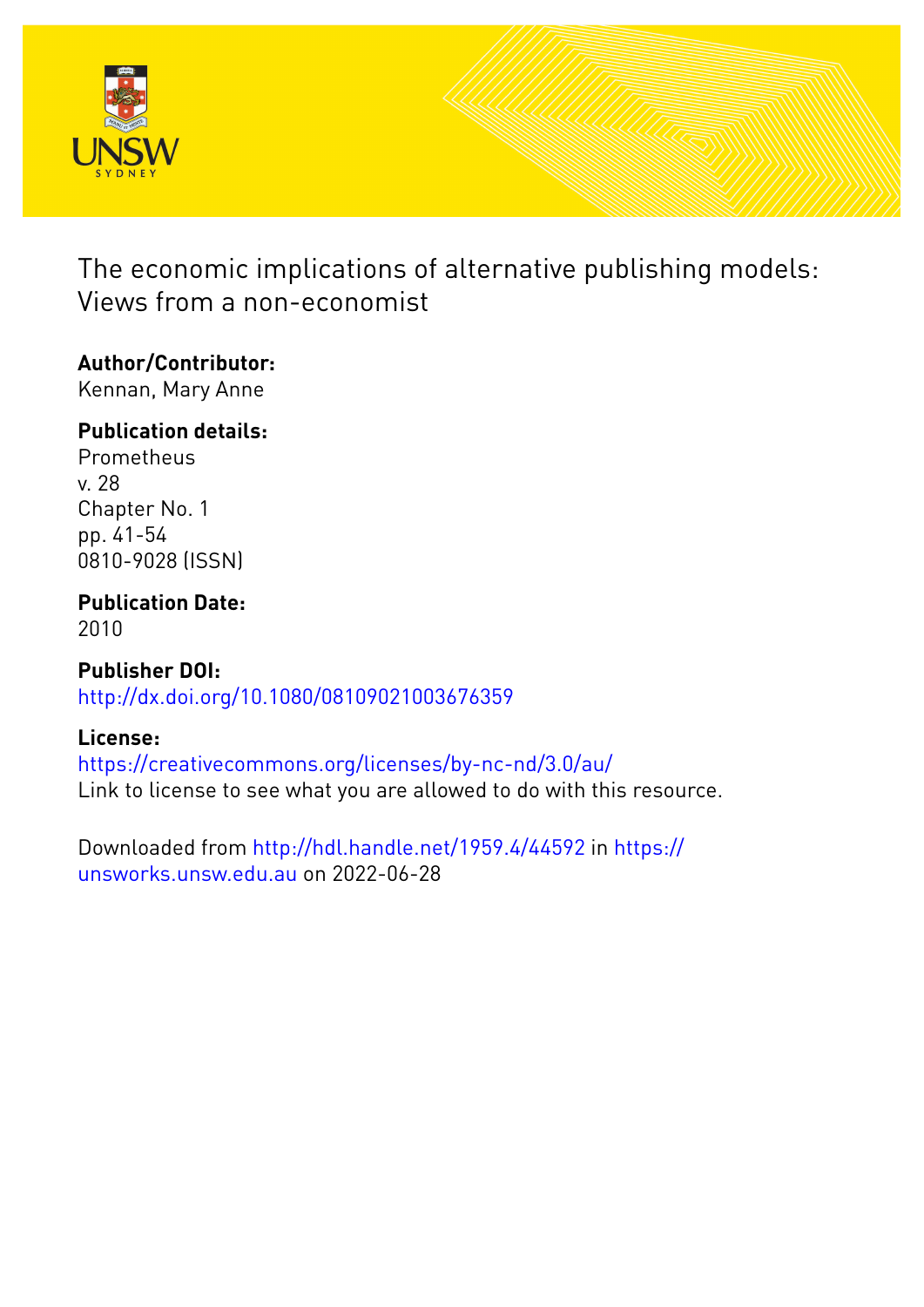

The economic implications of alternative publishing models: Views from a non-economist

# **Author/Contributor:**

Kennan, Mary Anne

## **Publication details:**

**Prometheus** v. 28 Chapter No. 1 pp. 41-54 0810-9028 (ISSN)

# **Publication Date:**

2010

**Publisher DOI:** [http://dx.doi.org/10.1080/08109021003676359](http://dx.doi.org/http://dx.doi.org/10.1080/08109021003676359)

## **License:**

<https://creativecommons.org/licenses/by-nc-nd/3.0/au/> Link to license to see what you are allowed to do with this resource.

Downloaded from <http://hdl.handle.net/1959.4/44592> in [https://](https://unsworks.unsw.edu.au) [unsworks.unsw.edu.au](https://unsworks.unsw.edu.au) on 2022-06-28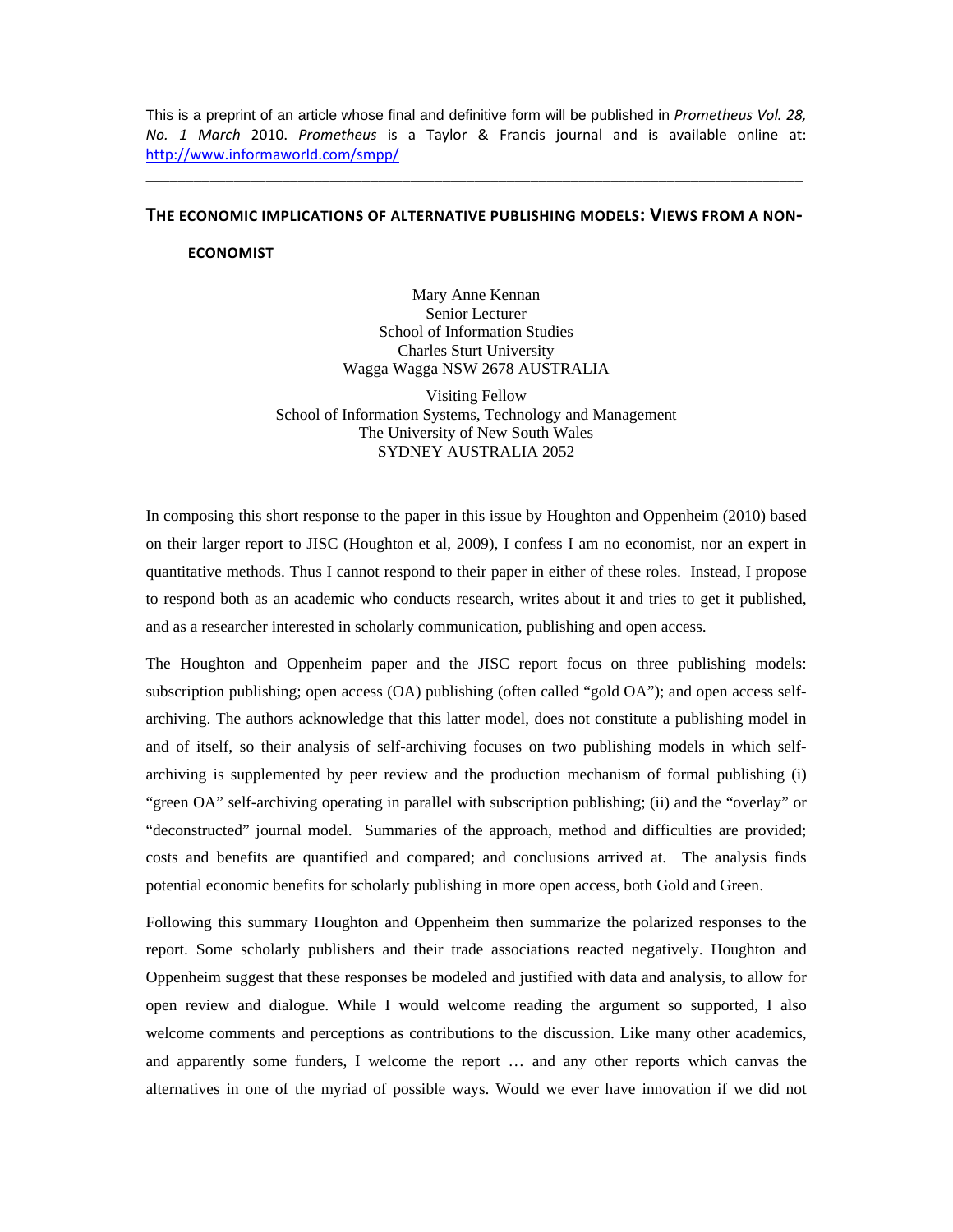This is a preprint of an article whose final and definitive form will be published in *Prometheus Vol. 28, No. 1 March* 2010. *Prometheus* is a Taylor & Francis journal and is available online at: http://www.informaworld.com/smpp/

### **THE ECONOMIC IMPLICATIONS OF ALTERNATIVE PUBLISHING MODELS: VIEWS FROM A NON‐**

\_\_\_\_\_\_\_\_\_\_\_\_\_\_\_\_\_\_\_\_\_\_\_\_\_\_\_\_\_\_\_\_\_\_\_\_\_\_\_\_\_\_\_\_\_\_\_\_\_\_\_\_\_\_\_\_\_\_\_\_\_\_\_\_\_\_\_\_\_\_\_\_\_\_\_\_\_\_\_\_\_\_

#### **ECONOMIST**

Mary Anne Kennan Senior Lecturer School of Information Studies Charles Sturt University Wagga Wagga NSW 2678 AUSTRALIA

Visiting Fellow School of Information Systems, Technology and Management The University of New South Wales SYDNEY AUSTRALIA 2052

In composing this short response to the paper in this issue by Houghton and Oppenheim (2010) based on their larger report to JISC (Houghton et al, 2009), I confess I am no economist, nor an expert in quantitative methods. Thus I cannot respond to their paper in either of these roles. Instead, I propose to respond both as an academic who conducts research, writes about it and tries to get it published, and as a researcher interested in scholarly communication, publishing and open access.

The Houghton and Oppenheim paper and the JISC report focus on three publishing models: subscription publishing; open access (OA) publishing (often called "gold OA"); and open access selfarchiving. The authors acknowledge that this latter model, does not constitute a publishing model in and of itself, so their analysis of self-archiving focuses on two publishing models in which selfarchiving is supplemented by peer review and the production mechanism of formal publishing (i) "green OA" self-archiving operating in parallel with subscription publishing; (ii) and the "overlay" or "deconstructed" journal model. Summaries of the approach, method and difficulties are provided; costs and benefits are quantified and compared; and conclusions arrived at. The analysis finds potential economic benefits for scholarly publishing in more open access, both Gold and Green.

Following this summary Houghton and Oppenheim then summarize the polarized responses to the report. Some scholarly publishers and their trade associations reacted negatively. Houghton and Oppenheim suggest that these responses be modeled and justified with data and analysis, to allow for open review and dialogue. While I would welcome reading the argument so supported, I also welcome comments and perceptions as contributions to the discussion. Like many other academics, and apparently some funders, I welcome the report … and any other reports which canvas the alternatives in one of the myriad of possible ways. Would we ever have innovation if we did not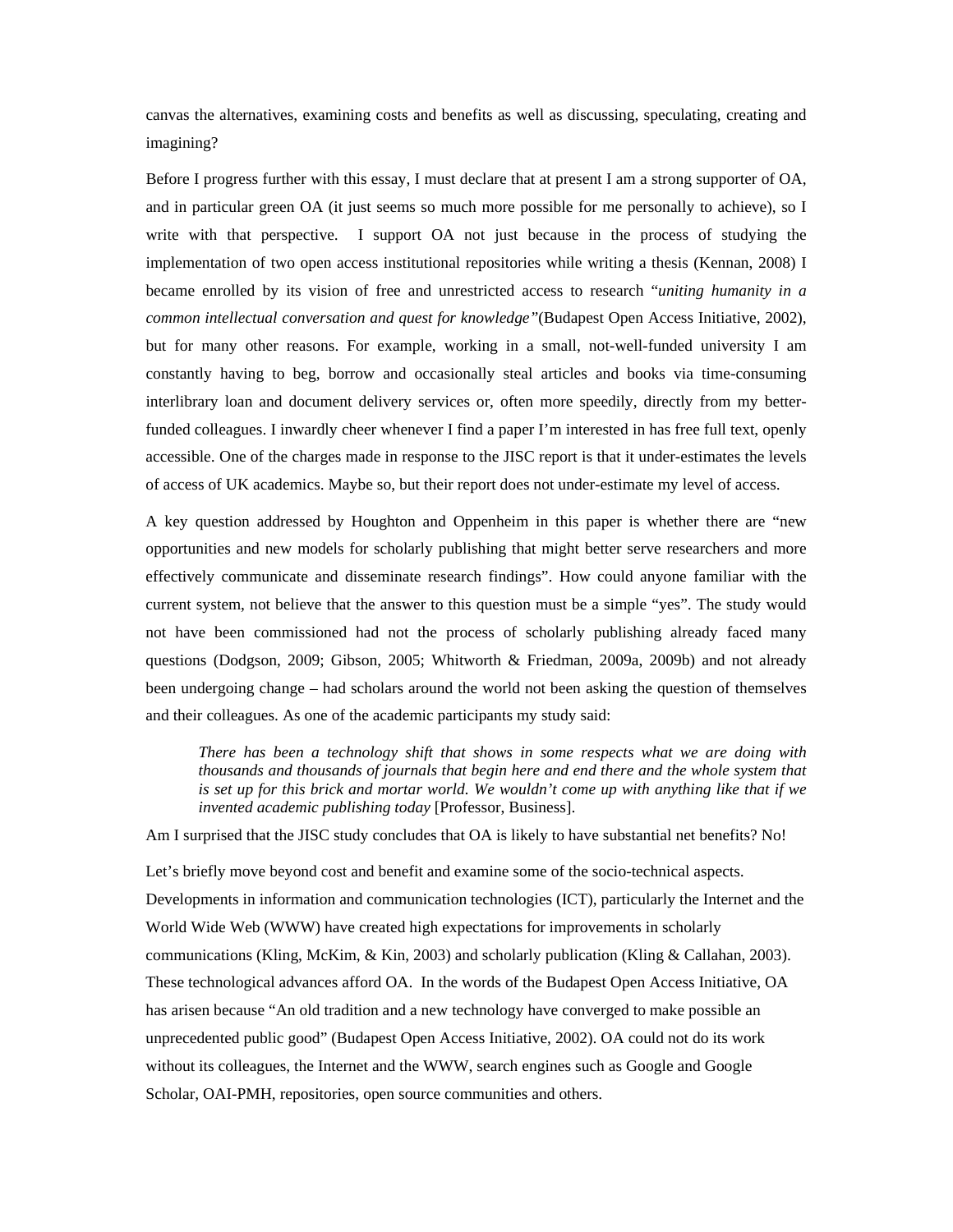canvas the alternatives, examining costs and benefits as well as discussing, speculating, creating and imagining?

Before I progress further with this essay, I must declare that at present I am a strong supporter of OA, and in particular green OA (it just seems so much more possible for me personally to achieve), so I write with that perspective. I support OA not just because in the process of studying the implementation of two open access institutional repositories while writing a thesis (Kennan, 2008) I became enrolled by its vision of free and unrestricted access to research "*uniting humanity in a common intellectual conversation and quest for knowledge"*(Budapest Open Access Initiative, 2002), but for many other reasons. For example, working in a small, not-well-funded university I am constantly having to beg, borrow and occasionally steal articles and books via time-consuming interlibrary loan and document delivery services or, often more speedily, directly from my betterfunded colleagues. I inwardly cheer whenever I find a paper I'm interested in has free full text, openly accessible. One of the charges made in response to the JISC report is that it under-estimates the levels of access of UK academics. Maybe so, but their report does not under-estimate my level of access.

A key question addressed by Houghton and Oppenheim in this paper is whether there are "new opportunities and new models for scholarly publishing that might better serve researchers and more effectively communicate and disseminate research findings". How could anyone familiar with the current system, not believe that the answer to this question must be a simple "yes". The study would not have been commissioned had not the process of scholarly publishing already faced many questions (Dodgson, 2009; Gibson, 2005; Whitworth & Friedman, 2009a, 2009b) and not already been undergoing change – had scholars around the world not been asking the question of themselves and their colleagues. As one of the academic participants my study said:

*There has been a technology shift that shows in some respects what we are doing with thousands and thousands of journals that begin here and end there and the whole system that is set up for this brick and mortar world. We wouldn't come up with anything like that if we invented academic publishing today* [Professor, Business].

Am I surprised that the JISC study concludes that OA is likely to have substantial net benefits? No!

Let's briefly move beyond cost and benefit and examine some of the socio-technical aspects. Developments in information and communication technologies (ICT), particularly the Internet and the World Wide Web (WWW) have created high expectations for improvements in scholarly communications (Kling, McKim, & Kin, 2003) and scholarly publication (Kling & Callahan, 2003). These technological advances afford OA. In the words of the Budapest Open Access Initiative, OA has arisen because "An old tradition and a new technology have converged to make possible an unprecedented public good" (Budapest Open Access Initiative, 2002). OA could not do its work without its colleagues, the Internet and the WWW, search engines such as Google and Google Scholar, OAI-PMH, repositories, open source communities and others.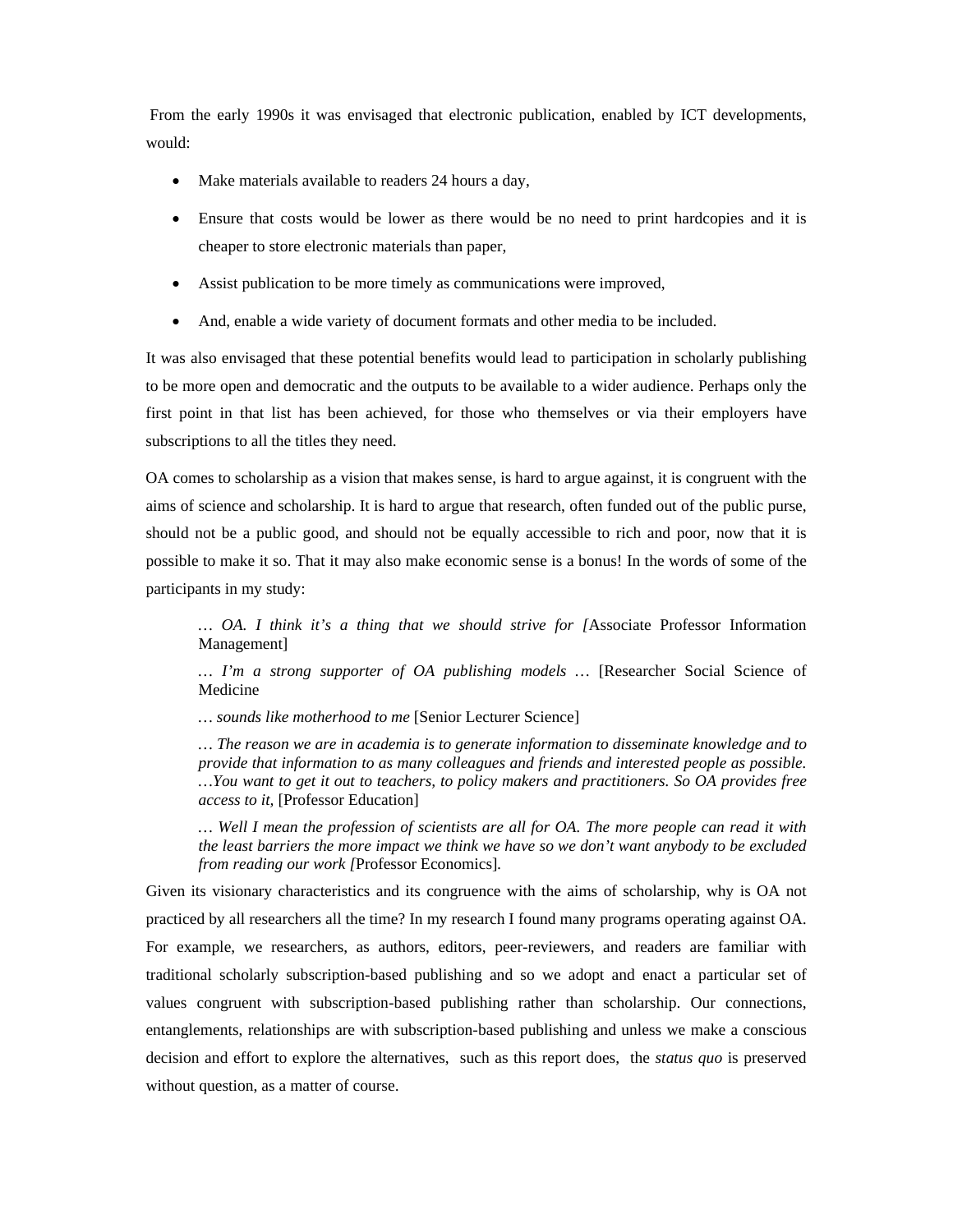From the early 1990s it was envisaged that electronic publication, enabled by ICT developments, would:

- Make materials available to readers 24 hours a day,
- Ensure that costs would be lower as there would be no need to print hardcopies and it is cheaper to store electronic materials than paper,
- Assist publication to be more timely as communications were improved,
- And, enable a wide variety of document formats and other media to be included.

It was also envisaged that these potential benefits would lead to participation in scholarly publishing to be more open and democratic and the outputs to be available to a wider audience. Perhaps only the first point in that list has been achieved, for those who themselves or via their employers have subscriptions to all the titles they need.

OA comes to scholarship as a vision that makes sense, is hard to argue against, it is congruent with the aims of science and scholarship. It is hard to argue that research, often funded out of the public purse, should not be a public good, and should not be equally accessible to rich and poor, now that it is possible to make it so. That it may also make economic sense is a bonus! In the words of some of the participants in my study:

*… OA. I think it's a thing that we should strive for [*Associate Professor Information Management]

*… I'm a strong supporter of OA publishing models …* [Researcher Social Science of Medicine

*… sounds like motherhood to me* [Senior Lecturer Science]

*… The reason we are in academia is to generate information to disseminate knowledge and to provide that information to as many colleagues and friends and interested people as possible. …You want to get it out to teachers, to policy makers and practitioners. So OA provides free access to it,* [Professor Education]

*… Well I mean the profession of scientists are all for OA. The more people can read it with the least barriers the more impact we think we have so we don't want anybody to be excluded from reading our work [*Professor Economics]*.* 

Given its visionary characteristics and its congruence with the aims of scholarship, why is OA not practiced by all researchers all the time? In my research I found many programs operating against OA. For example, we researchers, as authors, editors, peer-reviewers, and readers are familiar with traditional scholarly subscription-based publishing and so we adopt and enact a particular set of values congruent with subscription-based publishing rather than scholarship. Our connections, entanglements, relationships are with subscription-based publishing and unless we make a conscious decision and effort to explore the alternatives, such as this report does, the *status quo* is preserved without question, as a matter of course.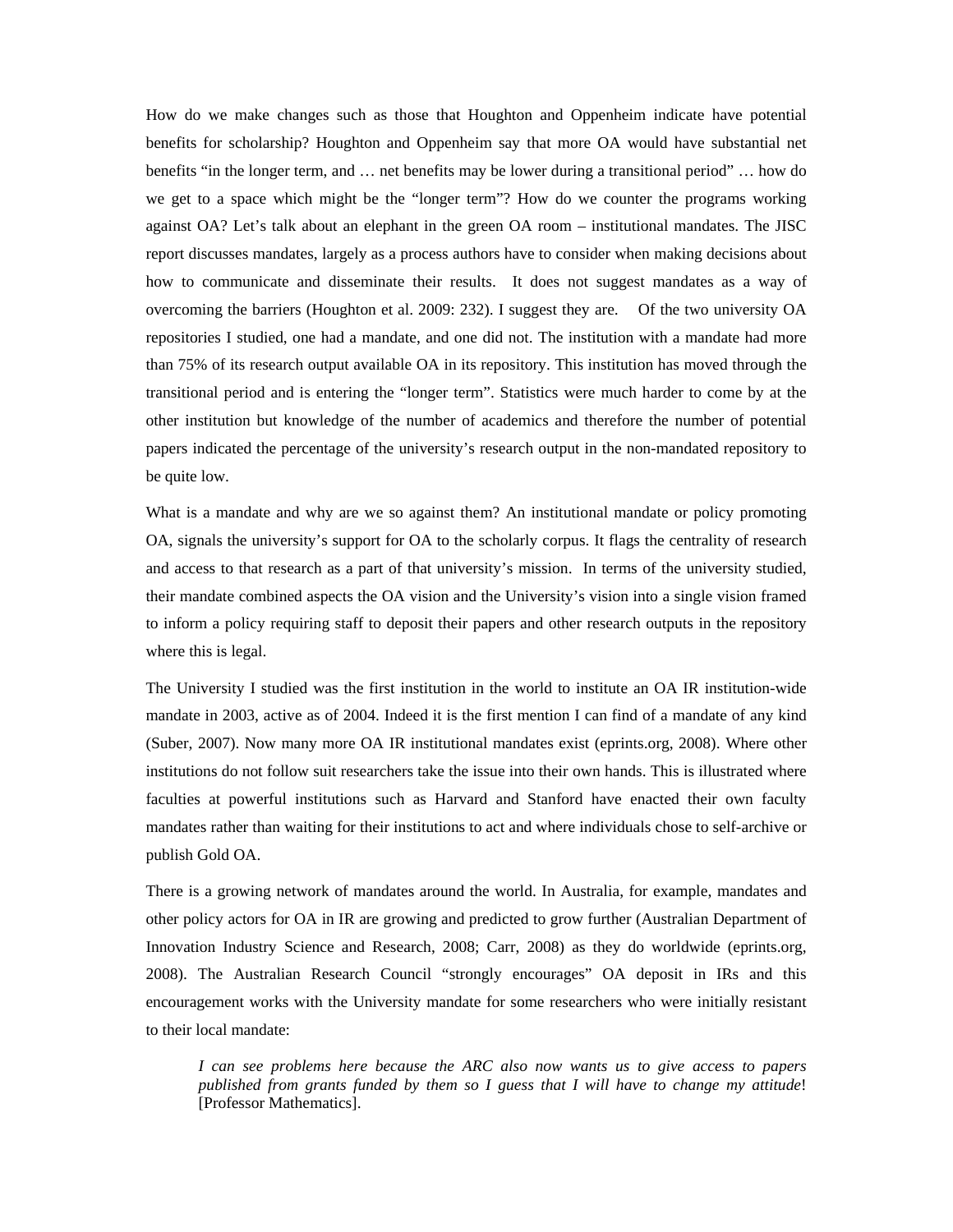How do we make changes such as those that Houghton and Oppenheim indicate have potential benefits for scholarship? Houghton and Oppenheim say that more OA would have substantial net benefits "in the longer term, and … net benefits may be lower during a transitional period" … how do we get to a space which might be the "longer term"? How do we counter the programs working against OA? Let's talk about an elephant in the green OA room – institutional mandates. The JISC report discusses mandates, largely as a process authors have to consider when making decisions about how to communicate and disseminate their results. It does not suggest mandates as a way of overcoming the barriers (Houghton et al. 2009: 232). I suggest they are. Of the two university OA repositories I studied, one had a mandate, and one did not. The institution with a mandate had more than 75% of its research output available OA in its repository. This institution has moved through the transitional period and is entering the "longer term". Statistics were much harder to come by at the other institution but knowledge of the number of academics and therefore the number of potential papers indicated the percentage of the university's research output in the non-mandated repository to be quite low.

What is a mandate and why are we so against them? An institutional mandate or policy promoting OA, signals the university's support for OA to the scholarly corpus. It flags the centrality of research and access to that research as a part of that university's mission. In terms of the university studied, their mandate combined aspects the OA vision and the University's vision into a single vision framed to inform a policy requiring staff to deposit their papers and other research outputs in the repository where this is legal.

The University I studied was the first institution in the world to institute an OA IR institution-wide mandate in 2003, active as of 2004. Indeed it is the first mention I can find of a mandate of any kind (Suber, 2007). Now many more OA IR institutional mandates exist (eprints.org, 2008). Where other institutions do not follow suit researchers take the issue into their own hands. This is illustrated where faculties at powerful institutions such as Harvard and Stanford have enacted their own faculty mandates rather than waiting for their institutions to act and where individuals chose to self-archive or publish Gold OA.

There is a growing network of mandates around the world. In Australia, for example, mandates and other policy actors for OA in IR are growing and predicted to grow further (Australian Department of Innovation Industry Science and Research, 2008; Carr, 2008) as they do worldwide (eprints.org, 2008). The Australian Research Council "strongly encourages" OA deposit in IRs and this encouragement works with the University mandate for some researchers who were initially resistant to their local mandate:

*I can see problems here because the ARC also now wants us to give access to papers published from grants funded by them so I guess that I will have to change my attitude*! [Professor Mathematics].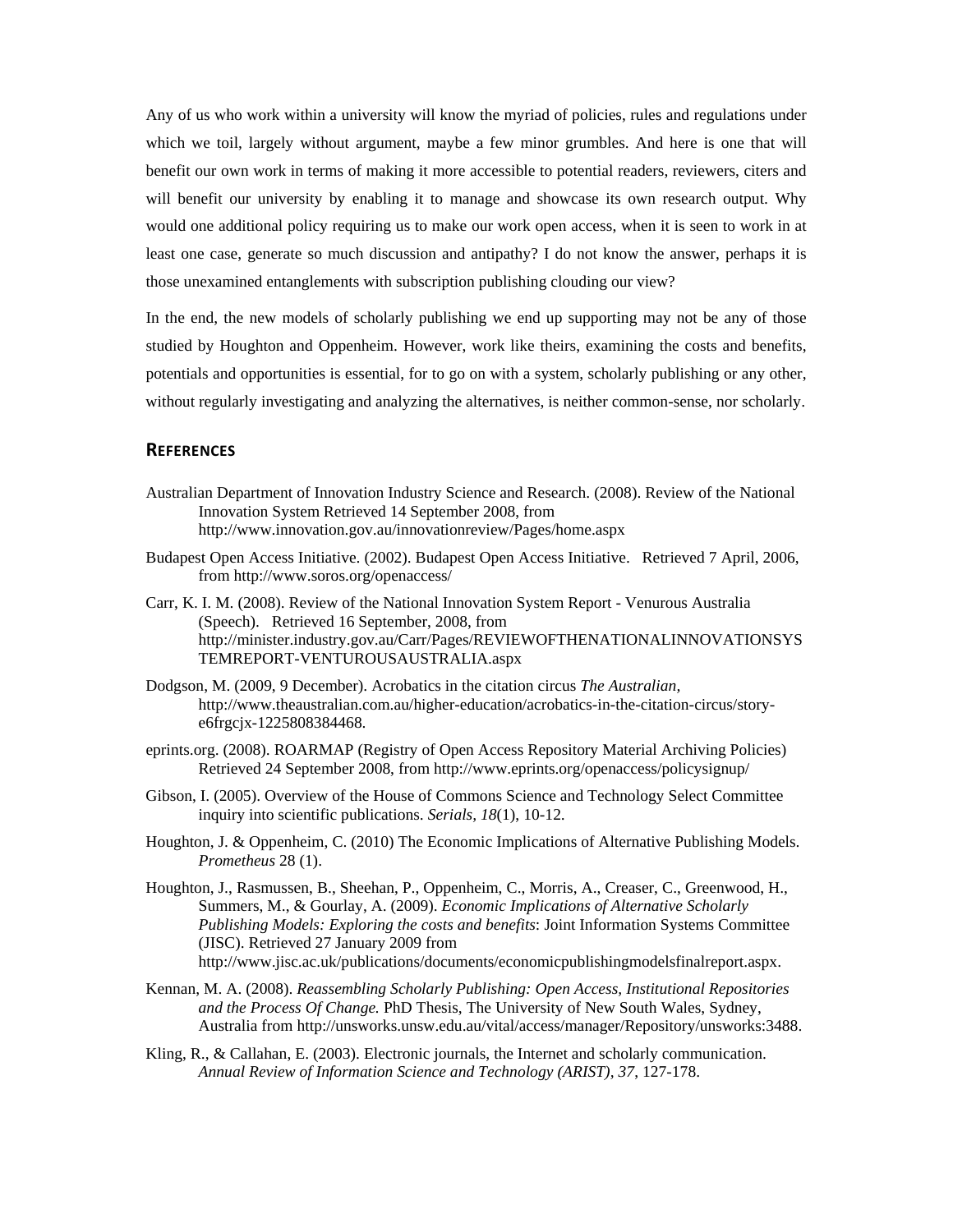Any of us who work within a university will know the myriad of policies, rules and regulations under which we toil, largely without argument, maybe a few minor grumbles. And here is one that will benefit our own work in terms of making it more accessible to potential readers, reviewers, citers and will benefit our university by enabling it to manage and showcase its own research output. Why would one additional policy requiring us to make our work open access, when it is seen to work in at least one case, generate so much discussion and antipathy? I do not know the answer, perhaps it is those unexamined entanglements with subscription publishing clouding our view?

In the end, the new models of scholarly publishing we end up supporting may not be any of those studied by Houghton and Oppenheim. However, work like theirs, examining the costs and benefits, potentials and opportunities is essential, for to go on with a system, scholarly publishing or any other, without regularly investigating and analyzing the alternatives, is neither common-sense, nor scholarly.

#### **REFERENCES**

- Australian Department of Innovation Industry Science and Research. (2008). Review of the National Innovation System Retrieved 14 September 2008, from http://www.innovation.gov.au/innovationreview/Pages/home.aspx
- Budapest Open Access Initiative. (2002). Budapest Open Access Initiative. Retrieved 7 April, 2006, from http://www.soros.org/openaccess/
- Carr, K. I. M. (2008). Review of the National Innovation System Report Venurous Australia (Speech). Retrieved 16 September, 2008, from http://minister.industry.gov.au/Carr/Pages/REVIEWOFTHENATIONALINNOVATIONSYS TEMREPORT-VENTUROUSAUSTRALIA.aspx
- Dodgson, M. (2009, 9 December). Acrobatics in the citation circus *The Australian,* http://www.theaustralian.com.au/higher-education/acrobatics-in-the-citation-circus/storye6frgcjx-1225808384468.
- eprints.org. (2008). ROARMAP (Registry of Open Access Repository Material Archiving Policies) Retrieved 24 September 2008, from http://www.eprints.org/openaccess/policysignup/
- Gibson, I. (2005). Overview of the House of Commons Science and Technology Select Committee inquiry into scientific publications. *Serials, 18*(1), 10-12.
- Houghton, J. & Oppenheim, C. (2010) The Economic Implications of Alternative Publishing Models. *Prometheus* 28 (1).
- Houghton, J., Rasmussen, B., Sheehan, P., Oppenheim, C., Morris, A., Creaser, C., Greenwood, H., Summers, M., & Gourlay, A. (2009). *Economic Implications of Alternative Scholarly Publishing Models: Exploring the costs and benefits*: Joint Information Systems Committee (JISC). Retrieved 27 January 2009 from http://www.jisc.ac.uk/publications/documents/economicpublishingmodelsfinalreport.aspx.
- Kennan, M. A. (2008). *Reassembling Scholarly Publishing: Open Access, Institutional Repositories and the Process Of Change.* PhD Thesis, The University of New South Wales, Sydney, Australia from http://unsworks.unsw.edu.au/vital/access/manager/Repository/unsworks:3488.
- Kling, R., & Callahan, E. (2003). Electronic journals, the Internet and scholarly communication. *Annual Review of Information Science and Technology (ARIST), 37*, 127-178.